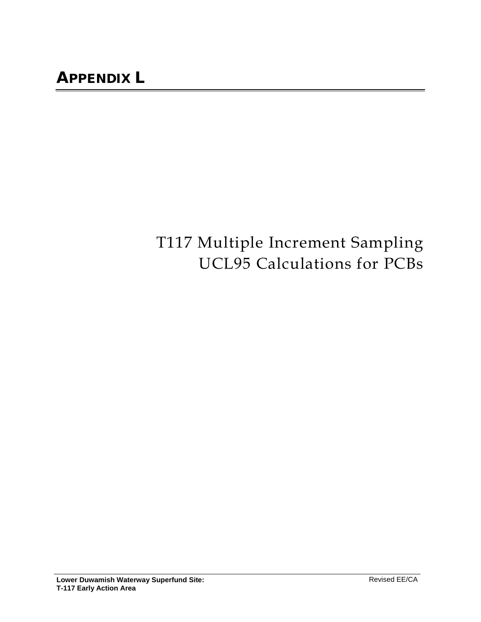# T117 Multiple Increment Sampling UCL95 Calculations for PCBs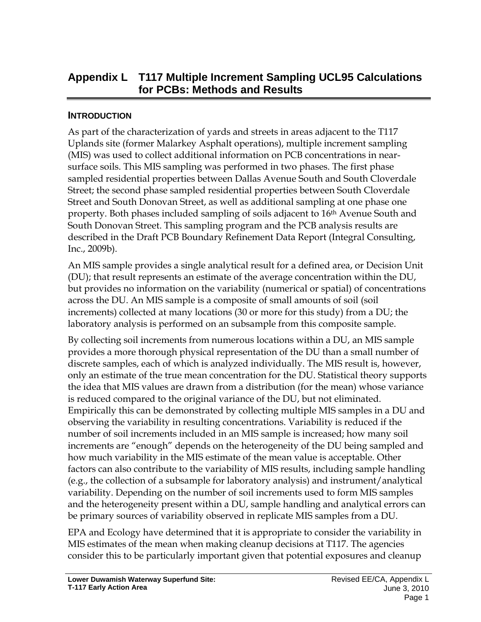# **Appendix L T117 Multiple Increment Sampling UCL95 Calculations for PCBs: Methods and Results**

## **INTRODUCTION**

As part of the characterization of yards and streets in areas adjacent to the T117 Uplands site (former Malarkey Asphalt operations), multiple increment sampling (MIS) was used to collect additional information on PCB concentrations in nearsurface soils. This MIS sampling was performed in two phases. The first phase sampled residential properties between Dallas Avenue South and South Cloverdale Street; the second phase sampled residential properties between South Cloverdale Street and South Donovan Street, as well as additional sampling at one phase one property. Both phases included sampling of soils adjacent to 16<sup>th</sup> Avenue South and South Donovan Street. This sampling program and the PCB analysis results are described in the Draft PCB Boundary Refinement Data Report (Integral Consulting, Inc., 2009b).

An MIS sample provides a single analytical result for a defined area, or Decision Unit (DU); that result represents an estimate of the average concentration within the DU, but provides no information on the variability (numerical or spatial) of concentrations across the DU. An MIS sample is a composite of small amounts of soil (soil increments) collected at many locations (30 or more for this study) from a DU; the laboratory analysis is performed on an subsample from this composite sample.

By collecting soil increments from numerous locations within a DU, an MIS sample provides a more thorough physical representation of the DU than a small number of discrete samples, each of which is analyzed individually. The MIS result is, however, only an estimate of the true mean concentration for the DU. Statistical theory supports the idea that MIS values are drawn from a distribution (for the mean) whose variance is reduced compared to the original variance of the DU, but not eliminated. Empirically this can be demonstrated by collecting multiple MIS samples in a DU and observing the variability in resulting concentrations. Variability is reduced if the number of soil increments included in an MIS sample is increased; how many soil increments are "enough" depends on the heterogeneity of the DU being sampled and how much variability in the MIS estimate of the mean value is acceptable. Other factors can also contribute to the variability of MIS results, including sample handling (e.g., the collection of a subsample for laboratory analysis) and instrument/analytical variability. Depending on the number of soil increments used to form MIS samples and the heterogeneity present within a DU, sample handling and analytical errors can be primary sources of variability observed in replicate MIS samples from a DU.

EPA and Ecology have determined that it is appropriate to consider the variability in MIS estimates of the mean when making cleanup decisions at T117. The agencies consider this to be particularly important given that potential exposures and cleanup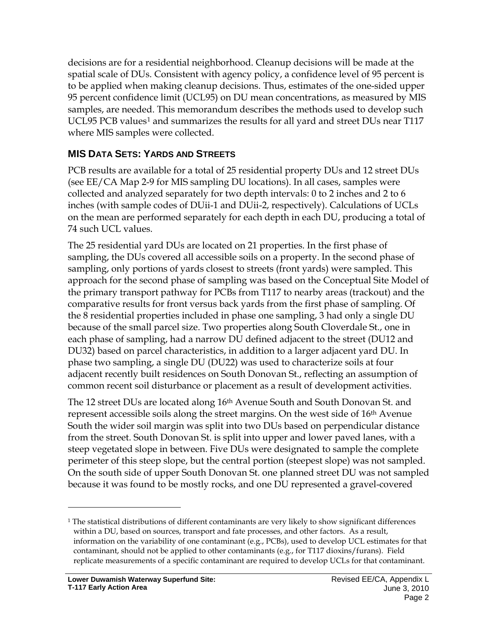decisions are for a residential neighborhood. Cleanup decisions will be made at the spatial scale of DUs. Consistent with agency policy, a confidence level of 95 percent is to be applied when making cleanup decisions. Thus, estimates of the one-sided upper 95 percent confidence limit (UCL95) on DU mean concentrations, as measured by MIS samples, are needed. This memorandum describes the methods used to develop such UCL95 PCB values<sup>[1](#page-2-0)</sup> and summarizes the results for all yard and street DUs near T117 where MIS samples were collected.

# **MIS DATA SETS: YARDS AND STREETS**

PCB results are available for a total of 25 residential property DUs and 12 street DUs (see EE/CA Map 2-9 for MIS sampling DU locations). In all cases, samples were collected and analyzed separately for two depth intervals: 0 to 2 inches and 2 to 6 inches (with sample codes of DUii-1 and DUii-2, respectively). Calculations of UCLs on the mean are performed separately for each depth in each DU, producing a total of 74 such UCL values.

The 25 residential yard DUs are located on 21 properties. In the first phase of sampling, the DUs covered all accessible soils on a property. In the second phase of sampling, only portions of yards closest to streets (front yards) were sampled. This approach for the second phase of sampling was based on the Conceptual Site Model of the primary transport pathway for PCBs from T117 to nearby areas (trackout) and the comparative results for front versus back yards from the first phase of sampling. Of the 8 residential properties included in phase one sampling, 3 had only a single DU because of the small parcel size. Two properties along South Cloverdale St., one in each phase of sampling, had a narrow DU defined adjacent to the street (DU12 and DU32) based on parcel characteristics, in addition to a larger adjacent yard DU. In phase two sampling, a single DU (DU22) was used to characterize soils at four adjacent recently built residences on South Donovan St., reflecting an assumption of common recent soil disturbance or placement as a result of development activities.

The 12 street DUs are located along 16th Avenue South and South Donovan St. and represent accessible soils along the street margins. On the west side of 16<sup>th</sup> Avenue South the wider soil margin was split into two DUs based on perpendicular distance from the street. South Donovan St. is split into upper and lower paved lanes, with a steep vegetated slope in between. Five DUs were designated to sample the complete perimeter of this steep slope, but the central portion (steepest slope) was not sampled. On the south side of upper South Donovan St. one planned street DU was not sampled because it was found to be mostly rocks, and one DU represented a gravel-covered

<span id="page-2-0"></span><sup>1</sup> The statistical distributions of different contaminants are very likely to show significant differences within a DU, based on sources, transport and fate processes, and other factors. As a result, information on the variability of one contaminant (e.g., PCBs), used to develop UCL estimates for that contaminant, should not be applied to other contaminants (e.g., for T117 dioxins/furans). Field replicate measurements of a specific contaminant are required to develop UCLs for that contaminant.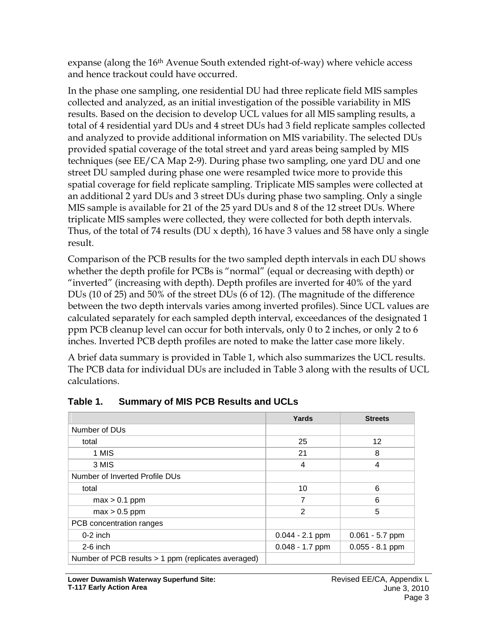expanse (along the 16<sup>th</sup> Avenue South extended right-of-way) where vehicle access and hence trackout could have occurred.

In the phase one sampling, one residential DU had three replicate field MIS samples collected and analyzed, as an initial investigation of the possible variability in MIS results. Based on the decision to develop UCL values for all MIS sampling results, a total of 4 residential yard DUs and 4 street DUs had 3 field replicate samples collected and analyzed to provide additional information on MIS variability. The selected DUs provided spatial coverage of the total street and yard areas being sampled by MIS techniques (see EE/CA Map 2-9). During phase two sampling, one yard DU and one street DU sampled during phase one were resampled twice more to provide this spatial coverage for field replicate sampling. Triplicate MIS samples were collected at an additional 2 yard DUs and 3 street DUs during phase two sampling. Only a single MIS sample is available for 21 of the 25 yard DUs and 8 of the 12 street DUs. Where triplicate MIS samples were collected, they were collected for both depth intervals. Thus, of the total of 74 results (DU x depth), 16 have 3 values and 58 have only a single result.

Comparison of the PCB results for the two sampled depth intervals in each DU shows whether the depth profile for PCBs is "normal" (equal or decreasing with depth) or "inverted" (increasing with depth). Depth profiles are inverted for 40% of the yard DUs (10 of 25) and 50% of the street DUs (6 of 12). (The magnitude of the difference between the two depth intervals varies among inverted profiles). Since UCL values are calculated separately for each sampled depth interval, exceedances of the designated 1 ppm PCB cleanup level can occur for both intervals, only 0 to 2 inches, or only 2 to 6 inches. Inverted PCB depth profiles are noted to make the latter case more likely.

A brief data summary is provided in Table 1, which also summarizes the UCL results. The PCB data for individual DUs are included in Table 3 along with the results of UCL calculations.

|                                                     | Yards             | <b>Streets</b>    |
|-----------------------------------------------------|-------------------|-------------------|
| Number of DU <sub>s</sub>                           |                   |                   |
| total                                               | 25                | 12                |
| 1 MIS                                               | 21                | 8                 |
| 3 MIS                                               | 4                 | $\overline{4}$    |
| Number of Inverted Profile DUs                      |                   |                   |
| total                                               | 10                | 6                 |
| $max > 0.1$ ppm                                     | 7                 | 6                 |
| $max > 0.5$ ppm                                     | 2                 | 5                 |
| PCB concentration ranges                            |                   |                   |
| $0-2$ inch                                          | $0.044 - 2.1$ ppm | $0.061 - 5.7$ ppm |
| $2-6$ inch                                          | $0.048 - 1.7$ ppm | $0.055 - 8.1$ ppm |
| Number of PCB results > 1 ppm (replicates averaged) |                   |                   |

## **Table 1. Summary of MIS PCB Results and UCLs**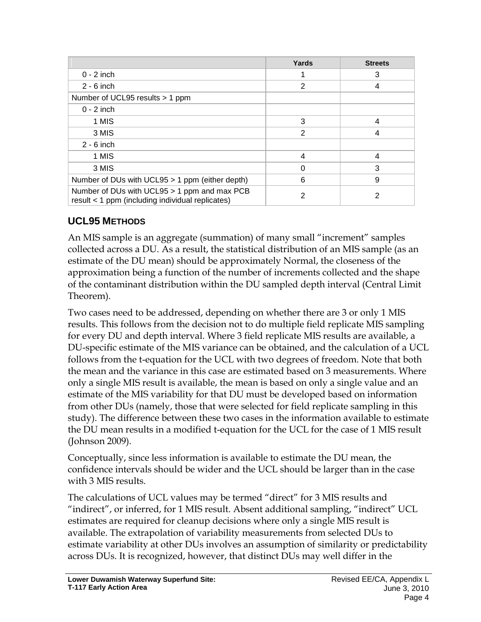|                                                                                                  | Yards          | <b>Streets</b> |
|--------------------------------------------------------------------------------------------------|----------------|----------------|
| $0 - 2$ inch                                                                                     |                | 3              |
| $2 - 6$ inch                                                                                     | $\overline{2}$ | 4              |
| Number of UCL95 results > 1 ppm                                                                  |                |                |
| $0 - 2$ inch                                                                                     |                |                |
| 1 MIS                                                                                            | 3              | 4              |
| 3 MIS                                                                                            | 2              | 4              |
| $2 - 6$ inch                                                                                     |                |                |
| 1 MIS                                                                                            | 4              | 4              |
| 3 MIS                                                                                            | $\Omega$       | 3              |
| Number of DUs with UCL95 > 1 ppm (either depth)                                                  | 6              | 9              |
| Number of DUs with UCL95 > 1 ppm and max PCB<br>result < 1 ppm (including individual replicates) | 2              | 2              |

# **UCL95 METHODS**

An MIS sample is an aggregate (summation) of many small "increment" samples collected across a DU. As a result, the statistical distribution of an MIS sample (as an estimate of the DU mean) should be approximately Normal, the closeness of the approximation being a function of the number of increments collected and the shape of the contaminant distribution within the DU sampled depth interval (Central Limit Theorem).

Two cases need to be addressed, depending on whether there are 3 or only 1 MIS results. This follows from the decision not to do multiple field replicate MIS sampling for every DU and depth interval. Where 3 field replicate MIS results are available, a DU-specific estimate of the MIS variance can be obtained, and the calculation of a UCL follows from the t-equation for the UCL with two degrees of freedom. Note that both the mean and the variance in this case are estimated based on 3 measurements. Where only a single MIS result is available, the mean is based on only a single value and an estimate of the MIS variability for that DU must be developed based on information from other DUs (namely, those that were selected for field replicate sampling in this study). The difference between these two cases in the information available to estimate the DU mean results in a modified t-equation for the UCL for the case of 1 MIS result (Johnson 2009).

Conceptually, since less information is available to estimate the DU mean, the confidence intervals should be wider and the UCL should be larger than in the case with 3 MIS results.

The calculations of UCL values may be termed "direct" for 3 MIS results and "indirect", or inferred, for 1 MIS result. Absent additional sampling, "indirect" UCL estimates are required for cleanup decisions where only a single MIS result is available. The extrapolation of variability measurements from selected DUs to estimate variability at other DUs involves an assumption of similarity or predictability across DUs. It is recognized, however, that distinct DUs may well differ in the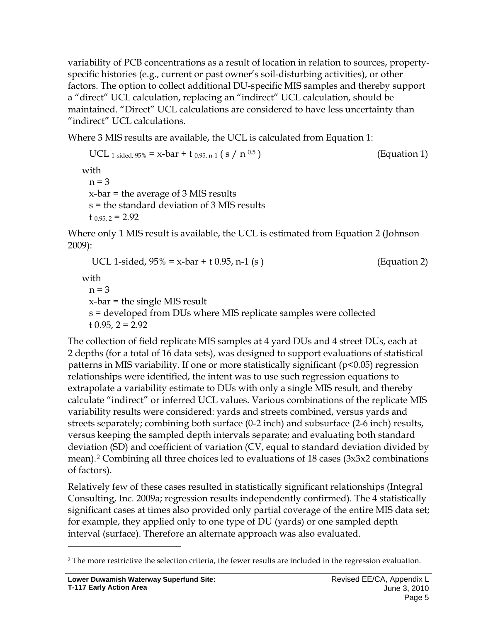variability of PCB concentrations as a result of location in relation to sources, propertyspecific histories (e.g., current or past owner's soil-disturbing activities), or other factors. The option to collect additional DU-specific MIS samples and thereby support a "direct" UCL calculation, replacing an "indirect" UCL calculation, should be maintained. "Direct" UCL calculations are considered to have less uncertainty than "indirect" UCL calculations.

Where 3 MIS results are available, the UCL is calculated from Equation 1:

UCL 1-sided,  $95\% = x-bar + t_{0.95, n-1} (s / n^{0.5})$  (Equation 1) with  $n = 3$ x-bar = the average of 3 MIS results s = the standard deviation of 3 MIS results  $t_{0.95, 2} = 2.92$ 

Where only 1 MIS result is available, the UCL is estimated from Equation 2 (Johnson 2009):

UCL 1-sided,  $95\% = x$ -bar + t 0.95, n-1 (s ) (Equation 2) with  $n = 3$ x-bar = the single MIS result s = developed from DUs where MIS replicate samples were collected t  $0.95, 2 = 2.92$ 

The collection of field replicate MIS samples at 4 yard DUs and 4 street DUs, each at 2 depths (for a total of 16 data sets), was designed to support evaluations of statistical patterns in MIS variability. If one or more statistically significant (p<0.05) regression relationships were identified, the intent was to use such regression equations to extrapolate a variability estimate to DUs with only a single MIS result, and thereby calculate "indirect" or inferred UCL values. Various combinations of the replicate MIS variability results were considered: yards and streets combined, versus yards and streets separately; combining both surface (0-2 inch) and subsurface (2-6 inch) results, versus keeping the sampled depth intervals separate; and evaluating both standard deviation (SD) and coefficient of variation (CV, equal to standard deviation divided by mean).[2](#page-5-0) Combining all three choices led to evaluations of 18 cases (3x3x2 combinations of factors).

Relatively few of these cases resulted in statistically significant relationships (Integral Consulting, Inc. 2009a; regression results independently confirmed). The 4 statistically significant cases at times also provided only partial coverage of the entire MIS data set; for example, they applied only to one type of DU (yards) or one sampled depth interval (surface). Therefore an alternate approach was also evaluated.

<span id="page-5-0"></span><sup>&</sup>lt;sup>2</sup> The more restrictive the selection criteria, the fewer results are included in the regression evaluation.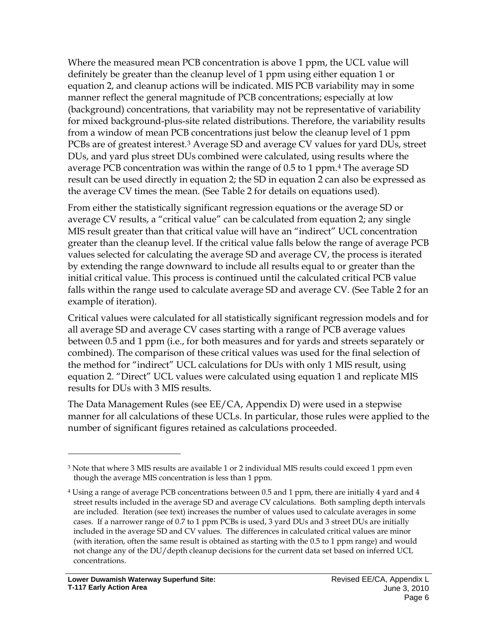Where the measured mean PCB concentration is above 1 ppm, the UCL value will definitely be greater than the cleanup level of 1 ppm using either equation 1 or equation 2, and cleanup actions will be indicated. MIS PCB variability may in some manner reflect the general magnitude of PCB concentrations; especially at low (background) concentrations, that variability may not be representative of variability for mixed background-plus-site related distributions. Therefore, the variability results from a window of mean PCB concentrations just below the cleanup level of 1 ppm PCBs are of greatest interest.[3](#page-6-0) Average SD and average CV values for yard DUs, street DUs, and yard plus street DUs combined were calculated, using results where the average PCB concentration was within the range of 0.5 to 1 ppm.[4](#page-6-1) The average SD result can be used directly in equation 2; the SD in equation 2 can also be expressed as the average CV times the mean. (See Table 2 for details on equations used).

From either the statistically significant regression equations or the average SD or average CV results, a "critical value" can be calculated from equation 2; any single MIS result greater than that critical value will have an "indirect" UCL concentration greater than the cleanup level. If the critical value falls below the range of average PCB values selected for calculating the average SD and average CV, the process is iterated by extending the range downward to include all results equal to or greater than the initial critical value. This process is continued until the calculated critical PCB value falls within the range used to calculate average SD and average CV. (See Table 2 for an example of iteration).

Critical values were calculated for all statistically significant regression models and for all average SD and average CV cases starting with a range of PCB average values between 0.5 and 1 ppm (i.e., for both measures and for yards and streets separately or combined). The comparison of these critical values was used for the final selection of the method for "indirect" UCL calculations for DUs with only 1 MIS result, using equation 2. "Direct" UCL values were calculated using equation 1 and replicate MIS results for DUs with 3 MIS results.

The Data Management Rules (see EE/CA, Appendix D) were used in a stepwise manner for all calculations of these UCLs. In particular, those rules were applied to the number of significant figures retained as calculations proceeded.

<span id="page-6-0"></span><sup>&</sup>lt;sup>3</sup> Note that where 3 MIS results are available 1 or 2 individual MIS results could exceed 1 ppm even though the average MIS concentration is less than 1 ppm.

<span id="page-6-1"></span><sup>4</sup> Using a range of average PCB concentrations between 0.5 and 1 ppm, there are initially 4 yard and 4 street results included in the average SD and average CV calculations. Both sampling depth intervals are included. Iteration (see text) increases the number of values used to calculate averages in some cases. If a narrower range of 0.7 to 1 ppm PCBs is used, 3 yard DUs and 3 street DUs are initially included in the average SD and CV values. The differences in calculated critical values are minor (with iteration, often the same result is obtained as starting with the 0.5 to 1 ppm range) and would not change any of the DU/depth cleanup decisions for the current data set based on inferred UCL concentrations.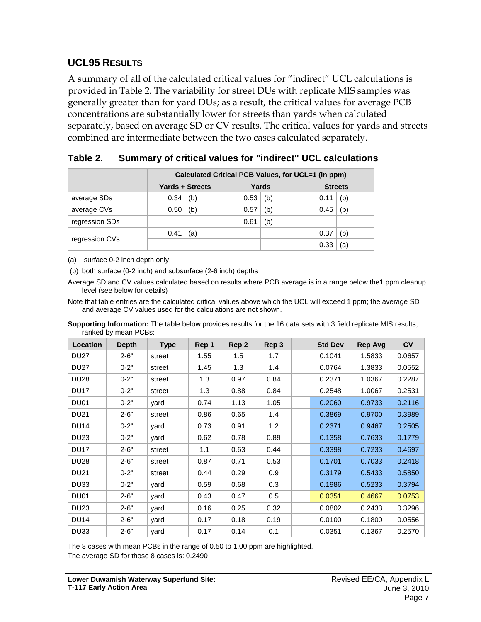#### **UCL95 RESULTS**

A summary of all of the calculated critical values for "indirect" UCL calculations is provided in Table 2. The variability for street DUs with replicate MIS samples was generally greater than for yard DUs; as a result, the critical values for average PCB concentrations are substantially lower for streets than yards when calculated separately, based on average SD or CV results. The critical values for yards and streets combined are intermediate between the two cases calculated separately.

|                | Calculated Critical PCB Values, for UCL=1 (in ppm) |     |       |     |      |                |  |  |
|----------------|----------------------------------------------------|-----|-------|-----|------|----------------|--|--|
|                | <b>Yards + Streets</b>                             |     | Yards |     |      | <b>Streets</b> |  |  |
| average SDs    | 0.34                                               | (b) | 0.53  | (b) | 0.11 | (b)            |  |  |
| average CVs    | 0.50                                               | (b) | 0.57  | (b) | 0.45 | (b)            |  |  |
| regression SDs |                                                    |     | 0.61  | (b) |      |                |  |  |
| regression CVs | 0.41                                               | (a) |       |     | 0.37 | (b)            |  |  |
|                |                                                    |     |       |     | 0.33 | ίa             |  |  |

**Table 2. Summary of critical values for "indirect" UCL calculations**

(a) surface 0-2 inch depth only

(b) both surface (0-2 inch) and subsurface (2-6 inch) depths

Average SD and CV values calculated based on results where PCB average is in a range below the1 ppm cleanup level (see below for details)

Note that table entries are the calculated critical values above which the UCL will exceed 1 ppm; the average SD and average CV values used for the calculations are not shown.

**Supporting Information:** The table below provides results for the 16 data sets with 3 field replicate MIS results, ranked by mean PCBs:

| <b>Location</b> | <b>Depth</b> | <b>Type</b> | Rep 1 | Rep 2 | Rep 3 | <b>Std Dev</b> | <b>Rep Avg</b> | <b>CV</b> |
|-----------------|--------------|-------------|-------|-------|-------|----------------|----------------|-----------|
| <b>DU27</b>     | $2 - 6"$     | street      | 1.55  | 1.5   | 1.7   | 0.1041         | 1.5833         | 0.0657    |
| <b>DU27</b>     | $0 - 2"$     | street      | 1.45  | 1.3   | 1.4   | 0.0764         | 1.3833         | 0.0552    |
| <b>DU28</b>     | $0 - 2"$     | street      | 1.3   | 0.97  | 0.84  | 0.2371         | 1.0367         | 0.2287    |
| <b>DU17</b>     | $0 - 2"$     | street      | 1.3   | 0.88  | 0.84  | 0.2548         | 1.0067         | 0.2531    |
| DU01            | $0 - 2"$     | yard        | 0.74  | 1.13  | 1.05  | 0.2060         | 0.9733         | 0.2116    |
| <b>DU21</b>     | $2 - 6"$     | street      | 0.86  | 0.65  | 1.4   | 0.3869         | 0.9700         | 0.3989    |
| <b>DU14</b>     | $0 - 2"$     | yard        | 0.73  | 0.91  | 1.2   | 0.2371         | 0.9467         | 0.2505    |
| <b>DU23</b>     | $0 - 2"$     | yard        | 0.62  | 0.78  | 0.89  | 0.1358         | 0.7633         | 0.1779    |
| <b>DU17</b>     | $2 - 6"$     | street      | 1.1   | 0.63  | 0.44  | 0.3398         | 0.7233         | 0.4697    |
| <b>DU28</b>     | $2 - 6"$     | street      | 0.87  | 0.71  | 0.53  | 0.1701         | 0.7033         | 0.2418    |
| <b>DU21</b>     | $0 - 2"$     | street      | 0.44  | 0.29  | 0.9   | 0.3179         | 0.5433         | 0.5850    |
| DU33            | $0 - 2"$     | yard        | 0.59  | 0.68  | 0.3   | 0.1986         | 0.5233         | 0.3794    |
| <b>DU01</b>     | $2 - 6"$     | yard        | 0.43  | 0.47  | 0.5   | 0.0351         | 0.4667         | 0.0753    |
| <b>DU23</b>     | $2 - 6"$     | yard        | 0.16  | 0.25  | 0.32  | 0.0802         | 0.2433         | 0.3296    |
| <b>DU14</b>     | $2 - 6"$     | yard        | 0.17  | 0.18  | 0.19  | 0.0100         | 0.1800         | 0.0556    |
| DU33            | $2 - 6"$     | yard        | 0.17  | 0.14  | 0.1   | 0.0351         | 0.1367         | 0.2570    |

The 8 cases with mean PCBs in the range of 0.50 to 1.00 ppm are highlighted. The average SD for those 8 cases is: 0.2490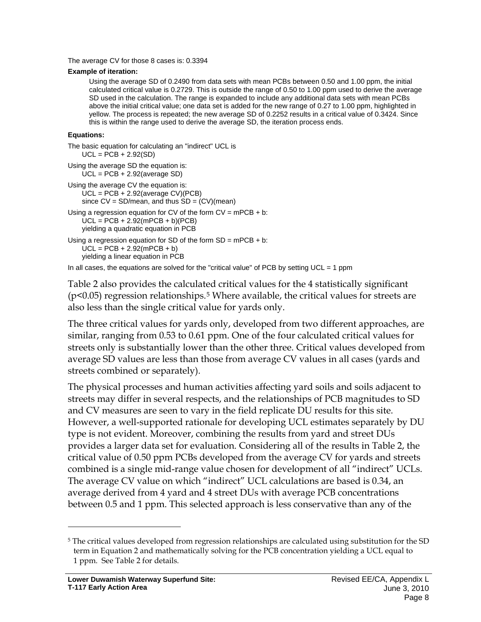The average CV for those 8 cases is: 0.3394

#### **Example of iteration:**

Using the average SD of 0.2490 from data sets with mean PCBs between 0.50 and 1.00 ppm, the initial calculated critical value is 0.2729. This is outside the range of 0.50 to 1.00 ppm used to derive the average SD used in the calculation. The range is expanded to include any additional data sets with mean PCBs above the initial critical value; one data set is added for the new range of 0.27 to 1.00 ppm, highlighted in yellow. The process is repeated; the new average SD of 0.2252 results in a critical value of 0.3424. Since this is within the range used to derive the average SD, the iteration process ends.

#### **Equations:**

```
The basic equation for calculating an "indirect" UCL is
    UCL = PCB + 2.92(SD)Using the average SD the equation is:
    UCL = PCB + 2.92(average SD)
Using the average CV the equation is:
    UCL = PCB + 2.92(average CV)(PCB)
    since CV = SD/mean, and thus SD = (CV)(mean)Using a regression equation for CV of the form CV = mPCB + b:
    \dot{\text{UCL}} = \text{PCB} + 2.92 \text{(mPCB + b)} \text{(PCB)}yielding a quadratic equation in PCB
Using a regression equation for SD of the form SD = mPCB + b:
    UCL = PCB + 2.92(mPCB + b)yielding a linear equation in PCB
In all cases, the equations are solved for the "critical value" of PCB by setting UCL = 1 ppm
```
Table 2 also provides the calculated critical values for the 4 statistically significant (p<0.05) regression relationships.[5](#page-8-0) Where available, the critical values for streets are also less than the single critical value for yards only.

The three critical values for yards only, developed from two different approaches, are similar, ranging from 0.53 to 0.61 ppm. One of the four calculated critical values for streets only is substantially lower than the other three. Critical values developed from average SD values are less than those from average CV values in all cases (yards and streets combined or separately).

The physical processes and human activities affecting yard soils and soils adjacent to streets may differ in several respects, and the relationships of PCB magnitudes to SD and CV measures are seen to vary in the field replicate DU results for this site. However, a well-supported rationale for developing UCL estimates separately by DU type is not evident. Moreover, combining the results from yard and street DUs provides a larger data set for evaluation. Considering all of the results in Table 2, the critical value of 0.50 ppm PCBs developed from the average CV for yards and streets combined is a single mid-range value chosen for development of all "indirect" UCLs. The average CV value on which "indirect" UCL calculations are based is 0.34, an average derived from 4 yard and 4 street DUs with average PCB concentrations between 0.5 and 1 ppm. This selected approach is less conservative than any of the

<span id="page-8-0"></span><sup>5</sup> The critical values developed from regression relationships are calculated using substitution for the SD term in Equation 2 and mathematically solving for the PCB concentration yielding a UCL equal to 1 ppm. See Table 2 for details.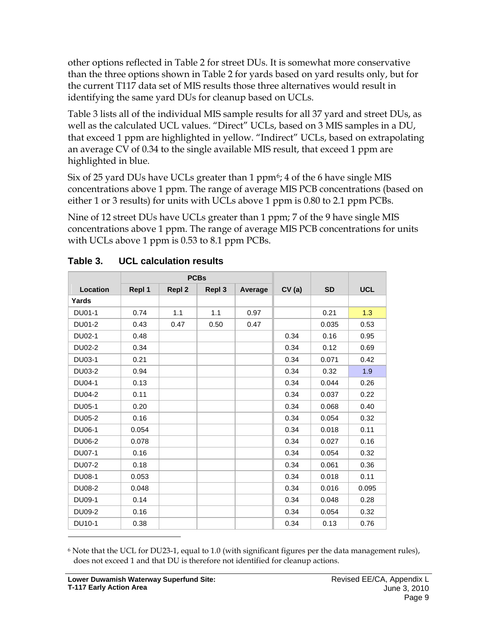other options reflected in Table 2 for street DUs. It is somewhat more conservative than the three options shown in Table 2 for yards based on yard results only, but for the current T117 data set of MIS results those three alternatives would result in identifying the same yard DUs for cleanup based on UCLs.

Table 3 lists all of the individual MIS sample results for all 37 yard and street DUs, as well as the calculated UCL values. "Direct" UCLs, based on 3 MIS samples in a DU, that exceed 1 ppm are highlighted in yellow. "Indirect" UCLs, based on extrapolating an average CV of 0.34 to the single available MIS result, that exceed 1 ppm are highlighted in blue.

Six of 25 yard DUs have UCLs greater than 1  $ppm<sup>6</sup>$  $ppm<sup>6</sup>$  $ppm<sup>6</sup>$ ; 4 of the 6 have single MIS concentrations above 1 ppm. The range of average MIS PCB concentrations (based on either 1 or 3 results) for units with UCLs above 1 ppm is 0.80 to 2.1 ppm PCBs.

Nine of 12 street DUs have UCLs greater than 1 ppm; 7 of the 9 have single MIS concentrations above 1 ppm. The range of average MIS PCB concentrations for units with UCLs above 1 ppm is 0.53 to 8.1 ppm PCBs.

|               | <b>PCBs</b> |               |        |         |       |           |            |
|---------------|-------------|---------------|--------|---------|-------|-----------|------------|
| Location      | Repl 1      | <b>Repl 2</b> | Repl 3 | Average | CV(a) | <b>SD</b> | <b>UCL</b> |
| Yards         |             |               |        |         |       |           |            |
| DU01-1        | 0.74        | 1.1           | 1.1    | 0.97    |       | 0.21      | 1.3        |
| DU01-2        | 0.43        | 0.47          | 0.50   | 0.47    |       | 0.035     | 0.53       |
| DU02-1        | 0.48        |               |        |         | 0.34  | 0.16      | 0.95       |
| DU02-2        | 0.34        |               |        |         | 0.34  | 0.12      | 0.69       |
| DU03-1        | 0.21        |               |        |         | 0.34  | 0.071     | 0.42       |
| DU03-2        | 0.94        |               |        |         | 0.34  | 0.32      | 1.9        |
| DU04-1        | 0.13        |               |        |         | 0.34  | 0.044     | 0.26       |
| DU04-2        | 0.11        |               |        |         | 0.34  | 0.037     | 0.22       |
| DU05-1        | 0.20        |               |        |         | 0.34  | 0.068     | 0.40       |
| <b>DU05-2</b> | 0.16        |               |        |         | 0.34  | 0.054     | 0.32       |
| DU06-1        | 0.054       |               |        |         | 0.34  | 0.018     | 0.11       |
| DU06-2        | 0.078       |               |        |         | 0.34  | 0.027     | 0.16       |
| DU07-1        | 0.16        |               |        |         | 0.34  | 0.054     | 0.32       |
| <b>DU07-2</b> | 0.18        |               |        |         | 0.34  | 0.061     | 0.36       |
| DU08-1        | 0.053       |               |        |         | 0.34  | 0.018     | 0.11       |
| <b>DU08-2</b> | 0.048       |               |        |         | 0.34  | 0.016     | 0.095      |
| DU09-1        | 0.14        |               |        |         | 0.34  | 0.048     | 0.28       |
| DU09-2        | 0.16        |               |        |         | 0.34  | 0.054     | 0.32       |
| DU10-1        | 0.38        |               |        |         | 0.34  | 0.13      | 0.76       |
|               |             |               |        |         |       |           |            |

## **Table 3. UCL calculation results**

<span id="page-9-0"></span><sup>6</sup> Note that the UCL for DU23-1, equal to 1.0 (with significant figures per the data management rules), does not exceed 1 and that DU is therefore not identified for cleanup actions.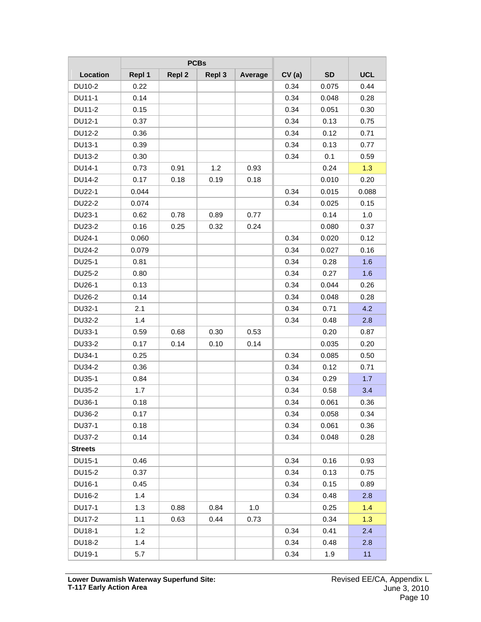|                | <b>PCBs</b> |               |        |         |       |           |            |
|----------------|-------------|---------------|--------|---------|-------|-----------|------------|
| Location       | Repl 1      | <b>Repl 2</b> | Repl 3 | Average | CV(a) | <b>SD</b> | <b>UCL</b> |
| DU10-2         | 0.22        |               |        |         | 0.34  | 0.075     | 0.44       |
| DU11-1         | 0.14        |               |        |         | 0.34  | 0.048     | 0.28       |
| DU11-2         | 0.15        |               |        |         | 0.34  | 0.051     | 0.30       |
| DU12-1         | 0.37        |               |        |         | 0.34  | 0.13      | 0.75       |
| DU12-2         | 0.36        |               |        |         | 0.34  | 0.12      | 0.71       |
| DU13-1         | 0.39        |               |        |         | 0.34  | 0.13      | 0.77       |
| DU13-2         | 0.30        |               |        |         | 0.34  | 0.1       | 0.59       |
| DU14-1         | 0.73        | 0.91          | 1.2    | 0.93    |       | 0.24      | 1.3        |
| DU14-2         | 0.17        | 0.18          | 0.19   | 0.18    |       | 0.010     | 0.20       |
| DU22-1         | 0.044       |               |        |         | 0.34  | 0.015     | 0.088      |
| <b>DU22-2</b>  | 0.074       |               |        |         | 0.34  | 0.025     | 0.15       |
| DU23-1         | 0.62        | 0.78          | 0.89   | 0.77    |       | 0.14      | 1.0        |
| DU23-2         | 0.16        | 0.25          | 0.32   | 0.24    |       | 0.080     | 0.37       |
| DU24-1         | 0.060       |               |        |         | 0.34  | 0.020     | 0.12       |
| DU24-2         | 0.079       |               |        |         | 0.34  | 0.027     | 0.16       |
| DU25-1         | 0.81        |               |        |         | 0.34  | 0.28      | 1.6        |
| <b>DU25-2</b>  | 0.80        |               |        |         | 0.34  | 0.27      | 1.6        |
| DU26-1         | 0.13        |               |        |         | 0.34  | 0.044     | 0.26       |
| DU26-2         | 0.14        |               |        |         | 0.34  | 0.048     | 0.28       |
| DU32-1         | 2.1         |               |        |         | 0.34  | 0.71      | 4.2        |
| <b>DU32-2</b>  | 1.4         |               |        |         | 0.34  | 0.48      | 2.8        |
| DU33-1         | 0.59        | 0.68          | 0.30   | 0.53    |       | 0.20      | 0.87       |
| <b>DU33-2</b>  | 0.17        | 0.14          | 0.10   | 0.14    |       | 0.035     | 0.20       |
| DU34-1         | 0.25        |               |        |         | 0.34  | 0.085     | 0.50       |
| DU34-2         | 0.36        |               |        |         | 0.34  | 0.12      | 0.71       |
| DU35-1         | 0.84        |               |        |         | 0.34  | 0.29      | 1.7        |
| DU35-2         | 1.7         |               |        |         | 0.34  | 0.58      | 3.4        |
| DU36-1         | 0.18        |               |        |         | 0.34  | 0.061     | 0.36       |
| DU36-2         | 0.17        |               |        |         | 0.34  | 0.058     | 0.34       |
| DU37-1         | 0.18        |               |        |         | 0.34  | 0.061     | 0.36       |
| <b>DU37-2</b>  | 0.14        |               |        |         | 0.34  | 0.048     | 0.28       |
| <b>Streets</b> |             |               |        |         |       |           |            |
| DU15-1         | 0.46        |               |        |         | 0.34  | 0.16      | 0.93       |
| DU15-2         | 0.37        |               |        |         | 0.34  | 0.13      | 0.75       |
| DU16-1         | 0.45        |               |        |         | 0.34  | 0.15      | 0.89       |
| DU16-2         | 1.4         |               |        |         | 0.34  | 0.48      | 2.8        |
| DU17-1         | 1.3         | 0.88          | 0.84   | 1.0     |       | 0.25      | 1.4        |
| DU17-2         | 1.1         | 0.63          | 0.44   | 0.73    |       | 0.34      | 1.3        |
| DU18-1         | 1.2         |               |        |         | 0.34  | 0.41      | 2.4        |
| DU18-2         | 1.4         |               |        |         | 0.34  | 0.48      | 2.8        |
| DU19-1         | 5.7         |               |        |         | 0.34  | 1.9       | 11         |